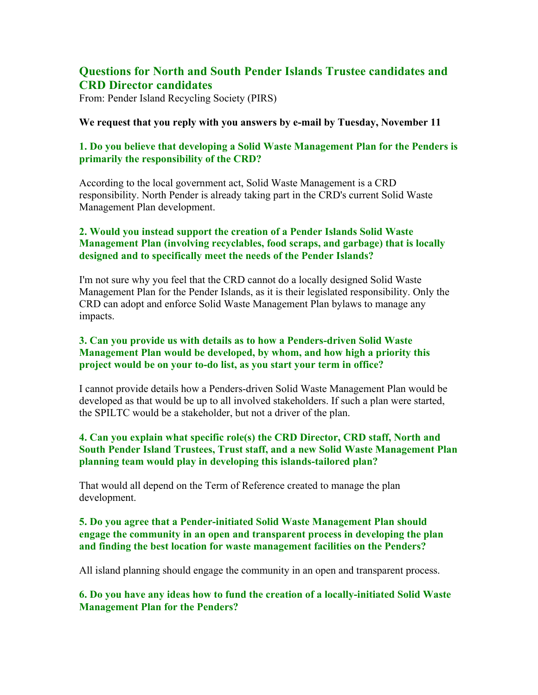# **Questions for North and South Pender Islands Trustee candidates and CRD Director candidates**

From: Pender Island Recycling Society (PIRS)

#### **We request that you reply with you answers by e-mail by Tuesday, November 11**

## **1. Do you believe that developing a Solid Waste Management Plan for the Penders is primarily the responsibility of the CRD?**

According to the local government act, Solid Waste Management is a CRD responsibility. North Pender is already taking part in the CRD's current Solid Waste Management Plan development.

## **2. Would you instead support the creation of a Pender Islands Solid Waste Management Plan (involving recyclables, food scraps, and garbage) that is locally designed and to specifically meet the needs of the Pender Islands?**

I'm not sure why you feel that the CRD cannot do a locally designed Solid Waste Management Plan for the Pender Islands, as it is their legislated responsibility. Only the CRD can adopt and enforce Solid Waste Management Plan bylaws to manage any impacts.

## **3. Can you provide us with details as to how a Penders-driven Solid Waste Management Plan would be developed, by whom, and how high a priority this project would be on your to-do list, as you start your term in office?**

I cannot provide details how a Penders-driven Solid Waste Management Plan would be developed as that would be up to all involved stakeholders. If such a plan were started, the SPILTC would be a stakeholder, but not a driver of the plan.

#### **4. Can you explain what specific role(s) the CRD Director, CRD staff, North and South Pender Island Trustees, Trust staff, and a new Solid Waste Management Plan planning team would play in developing this islands-tailored plan?**

That would all depend on the Term of Reference created to manage the plan development.

### **5. Do you agree that a Pender-initiated Solid Waste Management Plan should engage the community in an open and transparent process in developing the plan and finding the best location for waste management facilities on the Penders?**

All island planning should engage the community in an open and transparent process.

**6. Do you have any ideas how to fund the creation of a locally-initiated Solid Waste Management Plan for the Penders?**